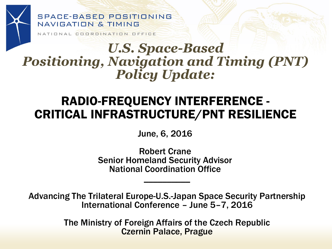#### SPACE-BASED POSITIONING NAVIGATION & TIMING

NATIONAL COORDINATION OFFICE

### *U.S. Space-Based Positioning, Navigation and Timing (PNT) Policy Update:*

### RADIO-FREQUENCY INTERFERENCE - CRITICAL INFRASTRUCTURE/PNT RESILIENCE

June, 6, 2016

 $\frac{1}{2}$ Robert Crane Senior Homeland Security Advisor National Coordination Office

Advancing The Trilateral Europe-U.S.-Japan Space Security Partnership International Conference – June 5–7, 2016

> The Ministry of Foreign Affairs of the Czech Republic Czernin Palace, Prague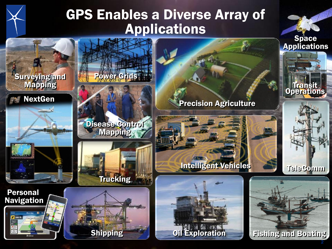# GPS Enables a Diverse Array of Applications

**Trucking** 

Power Grids

Disease Control Mapping

Surveying and Mapping

**NextGen** 

Personal Navigation

 $300 \text{ ft}$ 



Intelligent Vehicles



Space **Applications** 

Transit Operations



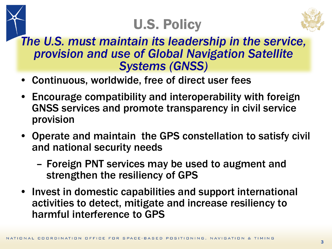# U.S. Policy



*The U.S. must maintain its leadership in the service, provision and use of Global Navigation Satellite Systems (GNSS)*

- Continuous, worldwide, free of direct user fees
- Encourage compatibility and interoperability with foreign GNSS services and promote transparency in civil service provision
- Operate and maintain the GPS constellation to satisfy civil and national security needs
	- Foreign PNT services may be used to augment and strengthen the resiliency of GPS
- Invest in domestic capabilities and support international activities to detect, mitigate and increase resiliency to harmful interference to GPS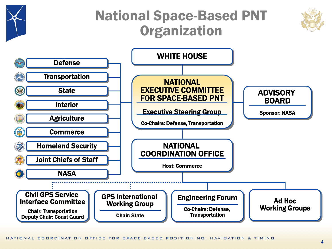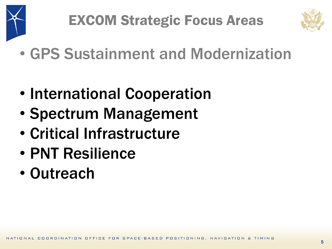



- GPS Sustainment and Modernization
- International Cooperation
- Spectrum Management
- Critical Infrastructure
- PNT Resilience
- Outreach